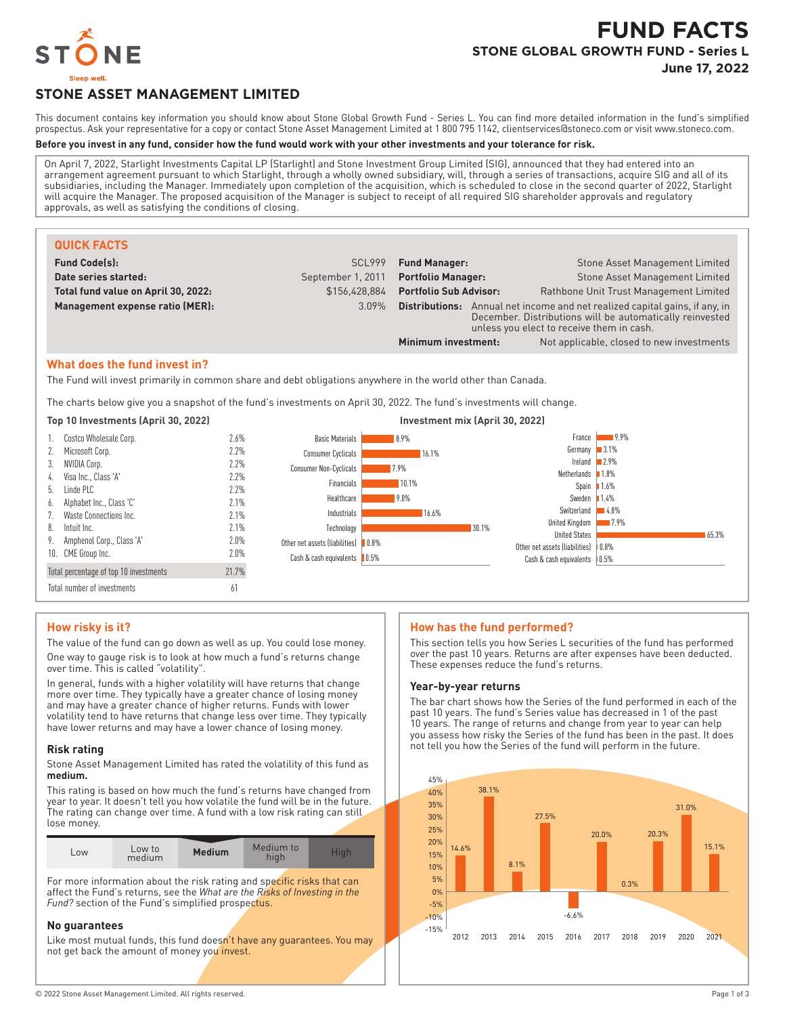

# **FUND FACTS STONE GLOBAL GROWTH FUND - Series L**

**June 17, 2022**

## **STONE ASSET MANAGEMENT LIMITED**

This document contains key information you should know about Stone Global Growth Fund - Series L. You can find more detailed information in the fund's simplified prospectus. Ask your representative for a copy or contact Stone Asset Management Limited at 1 800 795 1142, clientservices@stoneco.com or visit www.stoneco.com.

#### **Before you invest in any fund, consider how the fund would work with your other investments and your tolerance for risk.**

On April 7, 2022, Starlight Investments Capital LP (Starlight) and Stone Investment Group Limited (SIG), announced that they had entered into an arrangement agreement pursuant to which Starlight, through a wholly owned subsidiary, will, through a series of transactions, acquire SIG and all of its subsidiaries, including the Manager. Immediately upon completion of the acquisition, which is scheduled to close in the second quarter of 2022, Starlight will acquire the Manager. The proposed acquisition of the Manager is subject to receipt of all required SIG shareholder approvals and regulatory approvals, as well as satisfying the conditions of closing.

| <b>QUICK FACTS</b>                  |                   |                                                                                                                                                                                             |                                           |
|-------------------------------------|-------------------|---------------------------------------------------------------------------------------------------------------------------------------------------------------------------------------------|-------------------------------------------|
| <b>Fund Code(s):</b>                | SCL999            | Stone Asset Management Limited<br><b>Fund Manager:</b>                                                                                                                                      |                                           |
| Date series started:                | September 1, 2011 | Stone Asset Management Limited<br><b>Portfolio Manager:</b>                                                                                                                                 |                                           |
| Total fund value on April 30, 2022: | \$156.428.884     | <b>Portfolio Sub Advisor:</b><br>Rathbone Unit Trust Management Limited                                                                                                                     |                                           |
| Management expense ratio (MER):     | 3.09%             | <b>Distributions:</b> Annual net income and net realized capital gains, if any, in<br>December. Distributions will be automatically reinvested<br>unless you elect to receive them in cash. |                                           |
|                                     |                   | Minimum investment:                                                                                                                                                                         | Not applicable, closed to new investments |

#### **What does the fund invest in?**

The Fund will invest primarily in common share and debt obligations anywhere in the world other than Canada.

The charts below give you a snapshot of the fund's investments on April 30, 2022. The fund's investments will change.

#### **Top 10 Investments (April 30, 2022) Investment mix (April 30, 2022)** 1. Costco Wholesale Corp. 2.6% 2. Microsoft Corp. 2.2% 3. NVIDIA Corp. 2.2% 4. Visa Inc., Class 'A' 2.2% 5. Linde PLC 2.2% 6. Alphabet Inc., Class 'C' 2.1% 7. Waste Connections Inc. 2.1% 8. Intuit Inc. 2.1% 9. Amphenol Corp., Class 'A' 2.0% 10. CME Group Inc. 2.0% Total percentage of top 10 investments 21.7% Total number of investments 61 8.9% 16.1% 7.9% 10.1% 9.0% 16.6% 30.1% 0.8% 0.5% Basic Materials Consumer Cyclicals Consumer Non-Cyclicals Financials Healthcare Industrials Technology Other net assets (liabilities) Cash & cash equivalents 9.9% 3.1% 2.9% 1.8% <sup>1</sup>.6% 1.4% 4.8%  $-7.9%$ 65.3% Other net assets (liabilities) | 0.8% Cash & cash equivalents | 0.5% France Germany Ireland Netherlands Spain Sweden Switzerland United Kingdom United States

#### **How risky is it?**

The value of the fund can go down as well as up. You could lose money. One way to gauge risk is to look at how much a fund's returns change over time. This is called "volatility".

In general, funds with a higher volatility will have returns that change more over time. They typically have a greater chance of losing money and may have a greater chance of higher returns. Funds with lower volatility tend to have returns that change less over time. They typically have lower returns and may have a lower chance of losing money.

#### **Risk rating**

Stone Asset Management Limited has rated the volatility of this fund as **medium.**

This rating is based on how much the fund's returns have changed from year to year. It doesn't tell you how volatile the fund will be in the future. The rating can change over time. A fund with a low risk rating can still lose money.

| $-0W$ | Low to<br>medium | <b>Medium</b> | Medium to |  |
|-------|------------------|---------------|-----------|--|

For more information about the risk rating and specific risks that can affect the Fund's returns, see the *What are the Risks of Investing in the* Fund? section of the Fund's simplified prospectus.

#### **No guarantees**

Like most mutual funds, this fund doesn't have any quarantees. You may not get back the amount of money you invest.

#### **How has the fund performed?**

This section tells you how Series L securities of the fund has performed over the past 10 years. Returns are after expenses have been deducted. These expenses reduce the fund's returns.

#### **Year-by-year returns**

The bar chart shows how the Series of the fund performed in each of the past 10 years. The fund's Series value has decreased in 1 of the past 10 years. The range of returns and change from year to year can help you assess how risky the Series of the fund has been in the past. It does not tell you how the Series of the fund will perform in the future.

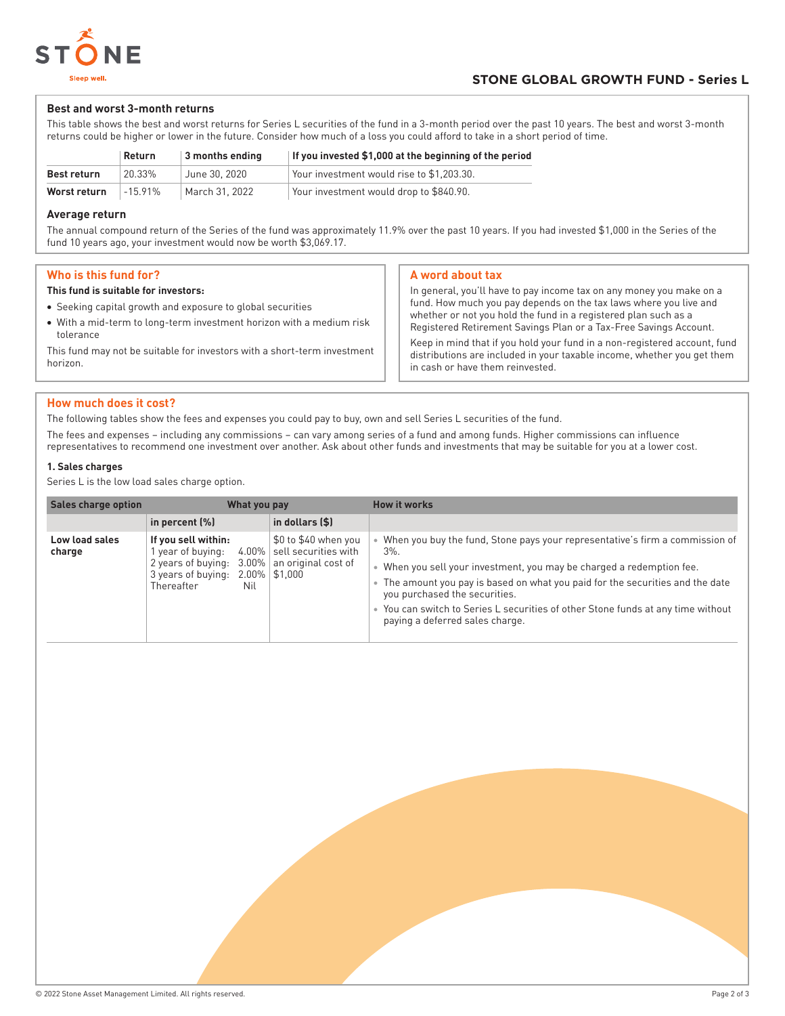

#### **Best and worst 3-month returns**

This table shows the best and worst returns for Series L securities of the fund in a 3-month period over the past 10 years. The best and worst 3-month returns could be higher or lower in the future. Consider how much of a loss you could afford to take in a short period of time.

|                    | Return    | 3 months ending | If you invested \$1,000 at the beginning of the period |
|--------------------|-----------|-----------------|--------------------------------------------------------|
| <b>Best return</b> | 20.33%    | June 30, 2020   | Your investment would rise to \$1.203.30.              |
| Worst return       | $-15.91%$ | March 31, 2022  | Your investment would drop to \$840.90.                |

#### **Average return**

The annual compound return of the Series of the fund was approximately 11.9% over the past 10 years. If you had invested \$1,000 in the Series of the fund 10 years ago, your investment would now be worth \$3,069.17.

#### **Who is this fund for?**

#### **This fund is suitable for investors:**

- Seeking capital growth and exposure to global securities
- With a mid-term to long-term investment horizon with a medium risk tolerance

This fund may not be suitable for investors with a short-term investment horizon.

#### **A word about tax**

In general, you'll have to pay income tax on any money you make on a fund. How much you pay depends on the tax laws where you live and whether or not you hold the fund in a registered plan such as a Registered Retirement Savings Plan or a Tax-Free Savings Account. Keep in mind that if you hold your fund in a non-registered account, fund

distributions are included in your taxable income, whether you get them in cash or have them reinvested.

#### **How much does it cost?**

The following tables show the fees and expenses you could pay to buy, own and sell Series L securities of the fund.

The fees and expenses – including any commissions – can vary among series of a fund and among funds. Higher commissions can influence representatives to recommend one investment over another. Ask about other funds and investments that may be suitable for you at a lower cost.

#### **1. Sales charges**

Series L is the low load sales charge option.

| <b>Sales charge option</b> | What you pay                                                                                     |                 |                                                                                                 | <b>How it works</b>                                                                                                                                                                                                                                                                                                                                                                                      |
|----------------------------|--------------------------------------------------------------------------------------------------|-----------------|-------------------------------------------------------------------------------------------------|----------------------------------------------------------------------------------------------------------------------------------------------------------------------------------------------------------------------------------------------------------------------------------------------------------------------------------------------------------------------------------------------------------|
|                            | in percent $(\%)$                                                                                |                 | in dollars (\$)                                                                                 |                                                                                                                                                                                                                                                                                                                                                                                                          |
| Low load sales<br>charge   | If you sell within:<br>year of buying:<br>2 years of buying:<br>3 years of buying:<br>Thereafter | $3.00\%$<br>Nil | \$0 to \$40 when you<br>4.00%   sell securities with<br>an original cost of<br>$2.00\%$ \$1,000 | When you buy the fund, Stone pays your representative's firm a commission of<br>$3\%$ .<br>• When you sell your investment, you may be charged a redemption fee.<br>The amount you pay is based on what you paid for the securities and the date<br>you purchased the securities.<br>• You can switch to Series L securities of other Stone funds at any time without<br>paying a deferred sales charge. |